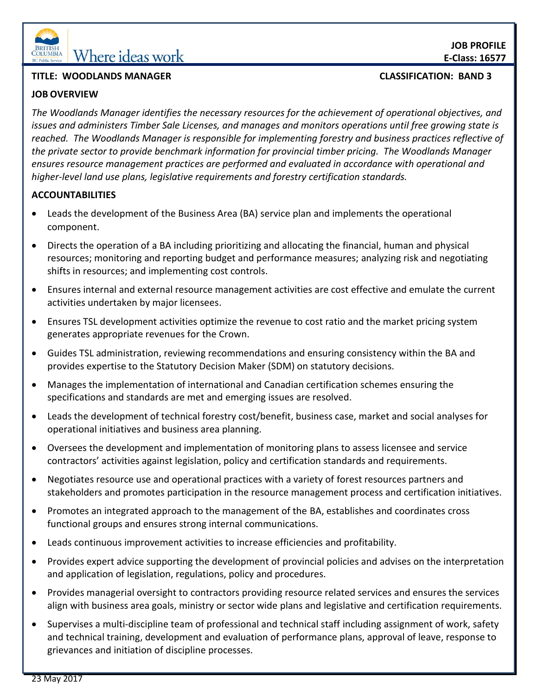

# **EQUINIBIA** Where ideas work

## **TITLE: WOODLANDS MANAGER CLASSIFICATION: BAND 3**

## **JOB OVERVIEW**

*The Woodlands Manager identifies the necessary resources for the achievement of operational objectives, and issues and administers Timber Sale Licenses, and manages and monitors operations until free growing state is reached. The Woodlands Manager is responsible for implementing forestry and business practices reflective of the private sector to provide benchmark information for provincial timber pricing. The Woodlands Manager ensures resource management practices are performed and evaluated in accordance with operational and higher-level land use plans, legislative requirements and forestry certification standards.* 

# **ACCOUNTABILITIES**

- Leads the development of the Business Area (BA) service plan and implements the operational component.
- Directs the operation of a BA including prioritizing and allocating the financial, human and physical resources; monitoring and reporting budget and performance measures; analyzing risk and negotiating shifts in resources; and implementing cost controls.
- Ensures internal and external resource management activities are cost effective and emulate the current activities undertaken by major licensees.
- Ensures TSL development activities optimize the revenue to cost ratio and the market pricing system generates appropriate revenues for the Crown.
- Guides TSL administration, reviewing recommendations and ensuring consistency within the BA and provides expertise to the Statutory Decision Maker (SDM) on statutory decisions.
- Manages the implementation of international and Canadian certification schemes ensuring the specifications and standards are met and emerging issues are resolved.
- Leads the development of technical forestry cost/benefit, business case, market and social analyses for operational initiatives and business area planning.
- Oversees the development and implementation of monitoring plans to assess licensee and service contractors' activities against legislation, policy and certification standards and requirements.
- Negotiates resource use and operational practices with a variety of forest resources partners and stakeholders and promotes participation in the resource management process and certification initiatives.
- Promotes an integrated approach to the management of the BA, establishes and coordinates cross functional groups and ensures strong internal communications.
- Leads continuous improvement activities to increase efficiencies and profitability.
- Provides expert advice supporting the development of provincial policies and advises on the interpretation and application of legislation, regulations, policy and procedures.
- Provides managerial oversight to contractors providing resource related services and ensures the services align with business area goals, ministry or sector wide plans and legislative and certification requirements.
- Supervises a multi-discipline team of professional and technical staff including assignment of work, safety and technical training, development and evaluation of performance plans, approval of leave, response to grievances and initiation of discipline processes.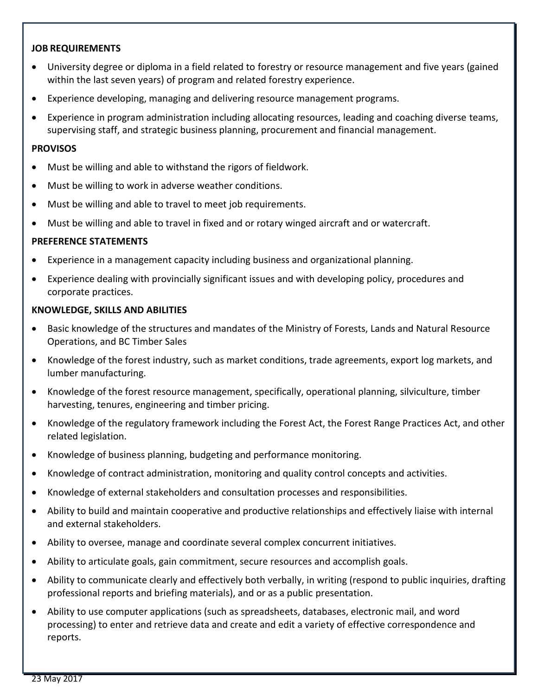## **JOB REQUIREMENTS**

- University degree or diploma in a field related to forestry or resource management and five years (gained within the last seven years) of program and related forestry experience.
- Experience developing, managing and delivering resource management programs.
- Experience in program administration including allocating resources, leading and coaching diverse teams, supervising staff, and strategic business planning, procurement and financial management.

#### **PROVISOS**

- Must be willing and able to withstand the rigors of fieldwork.
- Must be willing to work in adverse weather conditions.
- Must be willing and able to travel to meet job requirements.
- Must be willing and able to travel in fixed and or rotary winged aircraft and or watercraft.

## **PREFERENCE STATEMENTS**

- Experience in a management capacity including business and organizational planning.
- Experience dealing with provincially significant issues and with developing policy, procedures and corporate practices.

#### **KNOWLEDGE, SKILLS AND ABILITIES**

- Basic knowledge of the structures and mandates of the Ministry of Forests, Lands and Natural Resource Operations, and BC Timber Sales
- Knowledge of the forest industry, such as market conditions, trade agreements, export log markets, and lumber manufacturing.
- Knowledge of the forest resource management, specifically, operational planning, silviculture, timber harvesting, tenures, engineering and timber pricing.
- Knowledge of the regulatory framework including the Forest Act, the Forest Range Practices Act, and other related legislation.
- Knowledge of business planning, budgeting and performance monitoring.
- Knowledge of contract administration, monitoring and quality control concepts and activities.
- Knowledge of external stakeholders and consultation processes and responsibilities.
- Ability to build and maintain cooperative and productive relationships and effectively liaise with internal and external stakeholders.
- Ability to oversee, manage and coordinate several complex concurrent initiatives.
- Ability to articulate goals, gain commitment, secure resources and accomplish goals.
- Ability to communicate clearly and effectively both verbally, in writing (respond to public inquiries, drafting professional reports and briefing materials), and or as a public presentation.
- Ability to use computer applications (such as spreadsheets, databases, electronic mail, and word processing) to enter and retrieve data and create and edit a variety of effective correspondence and reports.